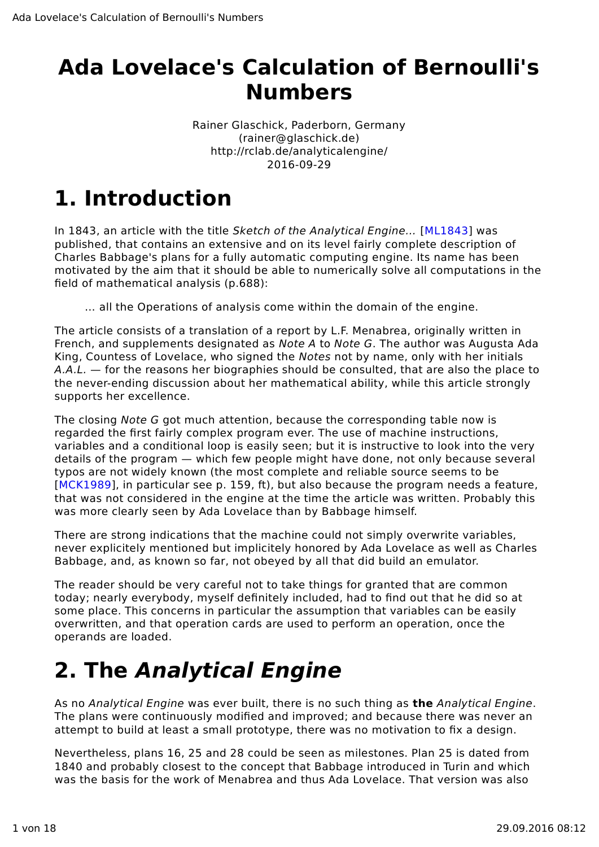## **Ada Lovelace's Calculation of Bernoulli's Numbers**

Rainer Glaschick, Paderborn, Germany (rainer@glaschick.de) http://rclab.de/analyticalengine/ 2016-09-29

# **1. Introduction**

In 1843, an article with the title Sketch of the Analytical Engine… [ML1843] was published, that contains an extensive and on its level fairly complete description of Charles Babbage's plans for a fully automatic computing engine. Its name has been motivated by the aim that it should be able to numerically solve all computations in the field of mathematical analysis (p.688):

… all the Operations of analysis come within the domain of the engine.

The article consists of a translation of a report by L.F. Menabrea, originally written in French, and supplements designated as Note A to Note G. The author was Augusta Ada King, Countess of Lovelace, who signed the Notes not by name, only with her initials  $A.A.L.$  — for the reasons her biographies should be consulted, that are also the place to the never-ending discussion about her mathematical ability, while this article strongly supports her excellence.

The closing Note G got much attention, because the corresponding table now is regarded the first fairly complex program ever. The use of machine instructions, variables and a conditional loop is easily seen; but it is instructive to look into the very details of the program — which few people might have done, not only because several typos are not widely known (the most complete and reliable source seems to be [MCK1989], in particular see p. 159, ft), but also because the program needs a feature, that was not considered in the engine at the time the article was written. Probably this was more clearly seen by Ada Lovelace than by Babbage himself.

There are strong indications that the machine could not simply overwrite variables, never explicitely mentioned but implicitely honored by Ada Lovelace as well as Charles Babbage, and, as known so far, not obeyed by all that did build an emulator.

The reader should be very careful not to take things for granted that are common today; nearly everybody, myself definitely included, had to find out that he did so at some place. This concerns in particular the assumption that variables can be easily overwritten, and that operation cards are used to perform an operation, once the operands are loaded.

# **2. The Analytical Engine**

As no Analytical Engine was ever built, there is no such thing as **the** Analytical Engine. The plans were continuously modified and improved; and because there was never an attempt to build at least a small prototype, there was no motivation to fix a design.

Nevertheless, plans 16, 25 and 28 could be seen as milestones. Plan 25 is dated from 1840 and probably closest to the concept that Babbage introduced in Turin and which was the basis for the work of Menabrea and thus Ada Lovelace. That version was also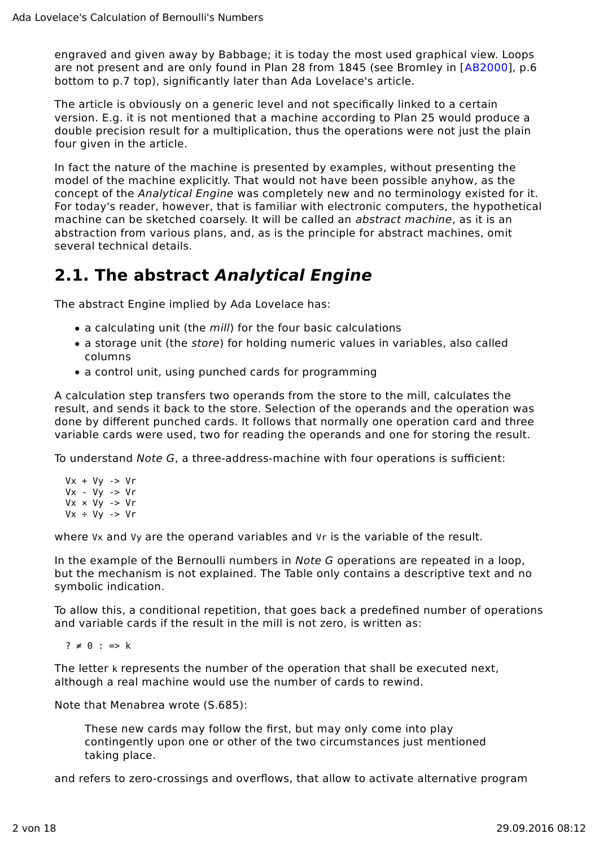engraved and given away by Babbage; it is today the most used graphical view. Loops are not present and are only found in Plan 28 from 1845 (see Bromley in [AB2000], p.6 bottom to p.7 top), significantly later than Ada Lovelace's article.

The article is obviously on a generic level and not specifically linked to a certain version. E.g. it is not mentioned that a machine according to Plan 25 would produce a double precision result for a multiplication, thus the operations were not just the plain four given in the article.

In fact the nature of the machine is presented by examples, without presenting the model of the machine explicitly. That would not have been possible anyhow, as the concept of the Analytical Engine was completely new and no terminology existed for it. For today's reader, however, that is familiar with electronic computers, the hypothetical machine can be sketched coarsely. It will be called an abstract machine, as it is an abstraction from various plans, and, as is the principle for abstract machines, omit several technical details.

### **2.1. The abstract Analytical Engine**

The abstract Engine implied by Ada Lovelace has:

- a calculating unit (the *mill*) for the four basic calculations
- a storage unit (the store) for holding numeric values in variables, also called columns
- a control unit, using punched cards for programming

A calculation step transfers two operands from the store to the mill, calculates the result, and sends it back to the store. Selection of the operands and the operation was done by different punched cards. It follows that normally one operation card and three variable cards were used, two for reading the operands and one for storing the result.

To understand Note G, a three-address-machine with four operations is sufficient:

 $Vx + Vv \rightarrow Vr$  Vx - Vy -> Vr  $Vx \times Vy \rightarrow Vr$  $Vx + Vy \rightarrow Vr$ 

where V<sub>x</sub> and V<sub>y</sub> are the operand variables and V<sub>r</sub> is the variable of the result.

In the example of the Bernoulli numbers in Note G operations are repeated in a loop, but the mechanism is not explained. The Table only contains a descriptive text and no symbolic indication.

To allow this, a conditional repetition, that goes back a predefined number of operations and variable cards if the result in the mill is not zero, is written as:

 $? \neq 0 : \Rightarrow k$ 

The letter k represents the number of the operation that shall be executed next, although a real machine would use the number of cards to rewind.

Note that Menabrea wrote (S.685):

These new cards may follow the first, but may only come into play contingently upon one or other of the two circumstances just mentioned taking place.

and refers to zero-crossings and overflows, that allow to activate alternative program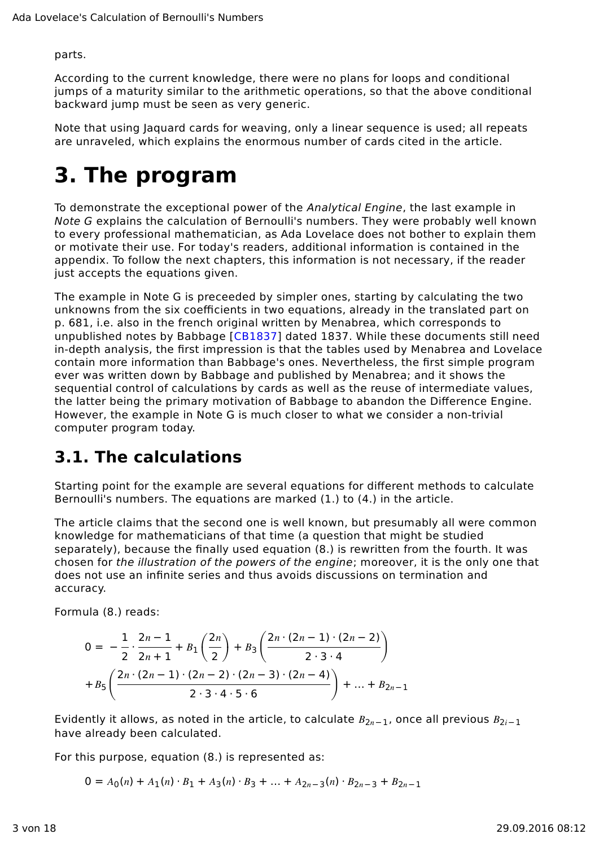parts.

According to the current knowledge, there were no plans for loops and conditional jumps of a maturity similar to the arithmetic operations, so that the above conditional backward jump must be seen as very generic.

Note that using Jaquard cards for weaving, only a linear sequence is used; all repeats are unraveled, which explains the enormous number of cards cited in the article.

# **3. The program**

To demonstrate the exceptional power of the *Analytical Engine*, the last example in Note G explains the calculation of Bernoulli's numbers. They were probably well known to every professional mathematician, as Ada Lovelace does not bother to explain them or motivate their use. For today's readers, additional information is contained in the appendix. To follow the next chapters, this information is not necessary, if the reader just accepts the equations given.

The example in Note G is preceeded by simpler ones, starting by calculating the two unknowns from the six coefficients in two equations, already in the translated part on p. 681, i.e. also in the french original written by Menabrea, which corresponds to unpublished notes by Babbage [CB1837] dated 1837. While these documents still need in-depth analysis, the first impression is that the tables used by Menabrea and Lovelace contain more information than Babbage's ones. Nevertheless, the first simple program ever was written down by Babbage and published by Menabrea; and it shows the sequential control of calculations by cards as well as the reuse of intermediate values, the latter being the primary motivation of Babbage to abandon the Difference Engine. However, the example in Note G is much closer to what we consider a non-trivial computer program today.

### **3.1. The calculations**

Starting point for the example are several equations for different methods to calculate Bernoulli's numbers. The equations are marked (1.) to (4.) in the article.

The article claims that the second one is well known, but presumably all were common knowledge for mathematicians of that time (a question that might be studied separately), because the finally used equation (8.) is rewritten from the fourth. It was chosen for the illustration of the powers of the engine; moreover, it is the only one that does not use an infinite series and thus avoids discussions on termination and accuracy.

Formula (8.) reads:

$$
0 = -\frac{1}{2} \cdot \frac{2n-1}{2n+1} + B_1\left(\frac{2n}{2}\right) + B_3\left(\frac{2n \cdot (2n-1) \cdot (2n-2)}{2 \cdot 3 \cdot 4}\right) + B_5\left(\frac{2n \cdot (2n-1) \cdot (2n-2) \cdot (2n-3) \cdot (2n-4)}{2 \cdot 3 \cdot 4 \cdot 5 \cdot 6}\right) + \dots + B_{2n-1}
$$

Evidently it allows, as noted in the article, to calculate  $B_{2n-1}$ , once all previous  $B_{2i-1}$ have already been calculated.

For this purpose, equation (8.) is represented as:

 $0 = A_0(n) + A_1(n) \cdot B_1 + A_3(n) \cdot B_3 + \dots + A_{2n-3}(n) \cdot B_{2n-3} + B_{2n-1}$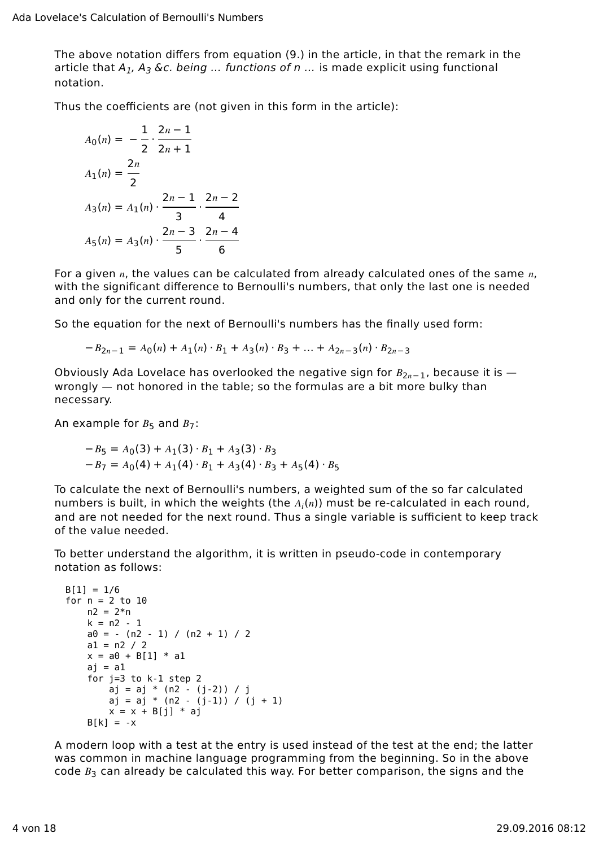The above notation differs from equation (9.) in the article, in that the remark in the article that  $A_1$ ,  $A_3$  &c. being ... functions of n ... is made explicit using functional notation.

Thus the coefficients are (not given in this form in the article):

$$
A_0(n) = -\frac{1}{2} \cdot \frac{2n-1}{2n+1}
$$
  
\n
$$
A_1(n) = \frac{2n}{2}
$$
  
\n
$$
A_3(n) = A_1(n) \cdot \frac{2n-1}{3} \cdot \frac{2n-2}{4}
$$
  
\n
$$
A_5(n) = A_3(n) \cdot \frac{2n-3}{5} \cdot \frac{2n-4}{6}
$$

For a given  $n$ , the values can be calculated from already calculated ones of the same  $n$ , with the significant difference to Bernoulli's numbers, that only the last one is needed and only for the current round.

So the equation for the next of Bernoulli's numbers has the finally used form:

$$
-B_{2n-1} = A_0(n) + A_1(n) \cdot B_1 + A_3(n) \cdot B_3 + \dots + A_{2n-3}(n) \cdot B_{2n-3}
$$

Obviously Ada Lovelace has overlooked the negative sign for  $B_{2n-1}$ , because it is wrongly — not honored in the table; so the formulas are a bit more bulky than necessary.

An example for  $B_5$  and  $B_7$ :

$$
-B_5 = A_0(3) + A_1(3) \cdot B_1 + A_3(3) \cdot B_3
$$
  

$$
-B_7 = A_0(4) + A_1(4) \cdot B_1 + A_3(4) \cdot B_3 + A_5(4) \cdot B_5
$$

To calculate the next of Bernoulli's numbers, a weighted sum of the so far calculated numbers is built, in which the weights (the  $A_i(n)$ ) must be re-calculated in each round, and are not needed for the next round. Thus a single variable is sufficient to keep track of the value needed.

To better understand the algorithm, it is written in pseudo-code in contemporary notation as follows:

```
B[1] = 1/6for n = 2 to 10n2 = 2*nk = n2 - 1a0 = - (n2 - 1) / (n2 + 1) / 2al = n2 / 2x = a0 + B[1] * a1aj = a1 for j=3 to k-1 step 2
        aj = aj * (n2 - (j-2)) / j
       aj = aj * (n2 - (j-1)) / (j + 1)x = x + B[j] * ajB[k] = -x
```
A modern loop with a test at the entry is used instead of the test at the end; the latter was common in machine language programming from the beginning. So in the above code  $B_3$  can already be calculated this way. For better comparison, the signs and the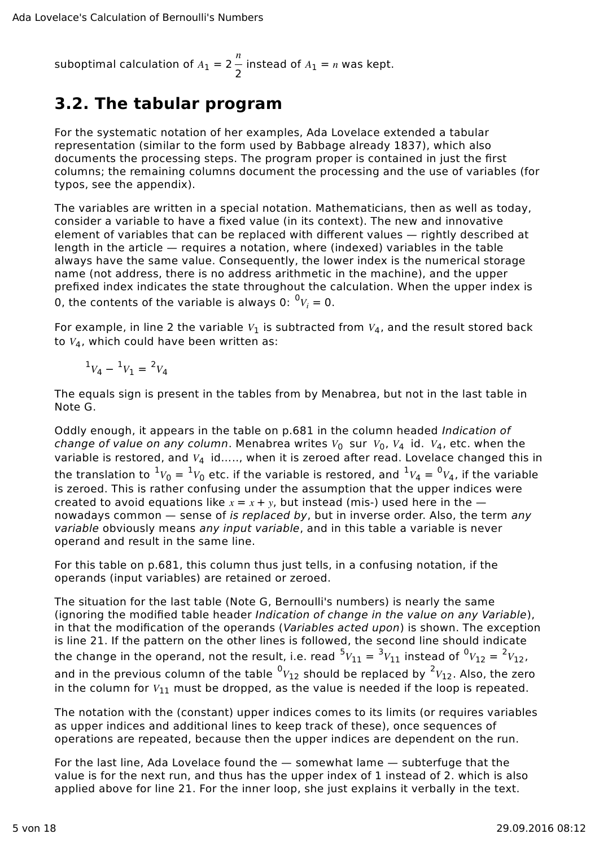suboptimal calculation of  $A_1 = 2$  $\boldsymbol{n}$  $-$  instead of  $A_1 = n$  was kept.<br>2

#### **3.2. The tabular program**

For the systematic notation of her examples, Ada Lovelace extended a tabular representation (similar to the form used by Babbage already 1837), which also documents the processing steps. The program proper is contained in just the first columns; the remaining columns document the processing and the use of variables (for typos, see the appendix).

The variables are written in a special notation. Mathematicians, then as well as today, consider a variable to have a fixed value (in its context). The new and innovative element of variables that can be replaced with different values — rightly described at length in the article — requires a notation, where (indexed) variables in the table always have the same value. Consequently, the lower index is the numerical storage name (not address, there is no address arithmetic in the machine), and the upper prefixed index indicates the state throughout the calculation. When the upper index is 0, the contents of the variable is always 0:  ${}^0V_i = 0$ .

For example, in line 2 the variable  $V_1$  is subtracted from  $V_4$ , and the result stored back to  $V_4$ , which could have been written as:

$$
{}^1V_4-{}^1V_1={}^2V_4
$$

The equals sign is present in the tables from by Menabrea, but not in the last table in Note G.

Oddly enough, it appears in the table on p.681 in the column headed Indication of change of value on any column. Menabrea writes  $V_0$  sur  $V_0$ ,  $V_4$  id.  $V_4$ , etc. when the variable is restored, and  $V_4$  id….., when it is zeroed after read. Lovelace changed this in the translation to  $^1V_0 = {^1V_0}$  etc. if the variable is restored, and  $^1V_4 = {^0V_4}$ , if the variable is zeroed. This is rather confusing under the assumption that the upper indices were created to avoid equations like  $x = x + y$ , but instead (mis-) used here in the  $$ nowadays common - sense of is replaced by, but in inverse order. Also, the term any variable obviously means any input variable, and in this table a variable is never operand and result in the same line.

For this table on p.681, this column thus just tells, in a confusing notation, if the operands (input variables) are retained or zeroed.

The situation for the last table (Note G, Bernoulli's numbers) is nearly the same (ignoring the modified table header Indication of change in the value on any Variable), in that the modification of the operands (Variables acted upon) is shown. The exception is line 21. If the pattern on the other lines is followed, the second line should indicate the change in the operand, not the result, i.e. read  $^5V_{11} = {^3}V_{11}$  instead of  ${^0}V_{12} = {^2}V_{12}$ , and in the previous column of the table  ${}^0V_{12}$  should be replaced by  ${}^2V_{12}$ . Also, the zero in the column for  $V_{11}$  must be dropped, as the value is needed if the loop is repeated.

The notation with the (constant) upper indices comes to its limits (or requires variables as upper indices and additional lines to keep track of these), once sequences of operations are repeated, because then the upper indices are dependent on the run.

For the last line, Ada Lovelace found the — somewhat lame — subterfuge that the value is for the next run, and thus has the upper index of 1 instead of 2. which is also applied above for line 21. For the inner loop, she just explains it verbally in the text.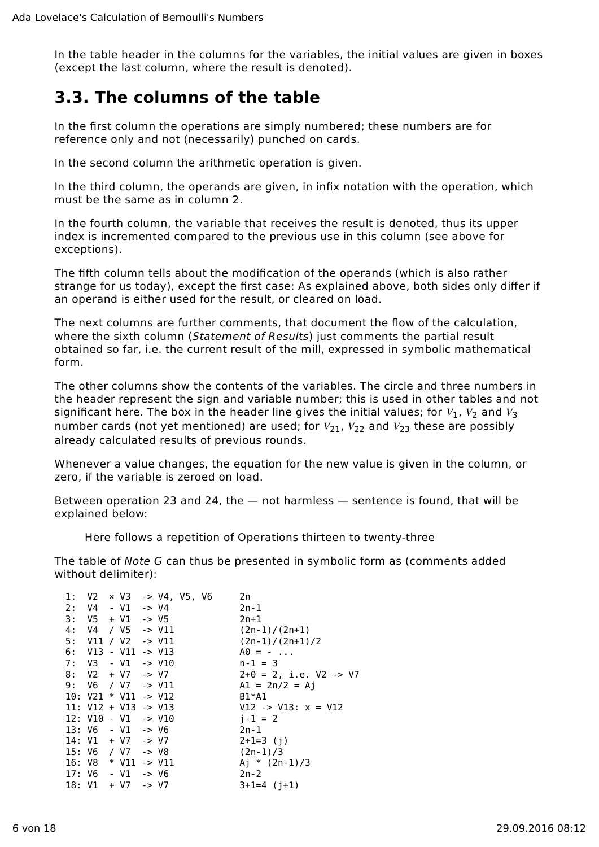In the table header in the columns for the variables, the initial values are given in boxes (except the last column, where the result is denoted).

#### **3.3. The columns of the table**

In the first column the operations are simply numbered; these numbers are for reference only and not (necessarily) punched on cards.

In the second column the arithmetic operation is given.

In the third column, the operands are given, in infix notation with the operation, which must be the same as in column 2.

In the fourth column, the variable that receives the result is denoted, thus its upper index is incremented compared to the previous use in this column (see above for exceptions).

The fifth column tells about the modification of the operands (which is also rather strange for us today), except the first case: As explained above, both sides only differ if an operand is either used for the result, or cleared on load.

The next columns are further comments, that document the flow of the calculation, where the sixth column (Statement of Results) just comments the partial result obtained so far, i.e. the current result of the mill, expressed in symbolic mathematical form.

The other columns show the contents of the variables. The circle and three numbers in the header represent the sign and variable number; this is used in other tables and not significant here. The box in the header line gives the initial values; for  $V_1$ ,  $V_2$  and  $V_3$ number cards (not yet mentioned) are used; for  $V_{21}$ ,  $V_{22}$  and  $V_{23}$  these are possibly already calculated results of previous rounds.

Whenever a value changes, the equation for the new value is given in the column, or zero, if the variable is zeroed on load.

Between operation 23 and 24, the — not harmless — sentence is found, that will be explained below:

Here follows a repetition of Operations thirteen to twenty-three

The table of Note G can thus be presented in symbolic form as (comments added without delimiter):

|  |  | 1: $V2 \times V3 \rightarrow V4$ , $V5$ , $V6$ |  |  | 2n                                |
|--|--|------------------------------------------------|--|--|-----------------------------------|
|  |  | $2: VA - VI - V1$                              |  |  | $2n - 1$                          |
|  |  | $3: V5 + V1 \rightarrow V5$                    |  |  | $2n+1$                            |
|  |  | 4: $V4 / V5$ -> $V11$                          |  |  | $(2n-1)/(2n+1)$                   |
|  |  | 5: V11 / V2 -> V11                             |  |  | $(2n-1)/(2n+1)/2$                 |
|  |  | $6:$ V13 - V11 -> V13                          |  |  | $A0 = -$                          |
|  |  | $7: V3 - V1 \rightarrow V10$                   |  |  | $n-1 = 3$                         |
|  |  | $8: V2 + V7 \rightarrow V7$                    |  |  | $2+0 = 2$ , i.e. V2 -> V7         |
|  |  | 9: $\sqrt{6}$ / $\sqrt{7}$ -> $\sqrt{11}$      |  |  | $AI = 2n/2 = Ai$                  |
|  |  | $10: V21 * V11 -> V12$                         |  |  | $B1*A1$                           |
|  |  | $11: V12 + V13 -> V13$                         |  |  | $V12 \rightarrow V13$ : $x = V12$ |
|  |  | $12: V10 - V1 \rightarrow V10$                 |  |  | $i - 1 = 2$                       |
|  |  | $13: V6 - V1 \rightarrow V6$                   |  |  | $2n-1$                            |
|  |  | $14: V1 + V7$ -> V7                            |  |  | $2+1=3$ (j)                       |
|  |  | 15: V6 / V7 -> V8                              |  |  | (2n-1)/3                          |
|  |  | 16: $V8 * V11 - V11$                           |  |  | Aj * $(2n-1)/3$                   |
|  |  | $17: V6 - V1 \rightarrow V6$                   |  |  | $2n - 2$                          |
|  |  | $18: V1 + V7 \rightarrow V7$                   |  |  | $3+1=4$ $(i+1)$                   |
|  |  |                                                |  |  |                                   |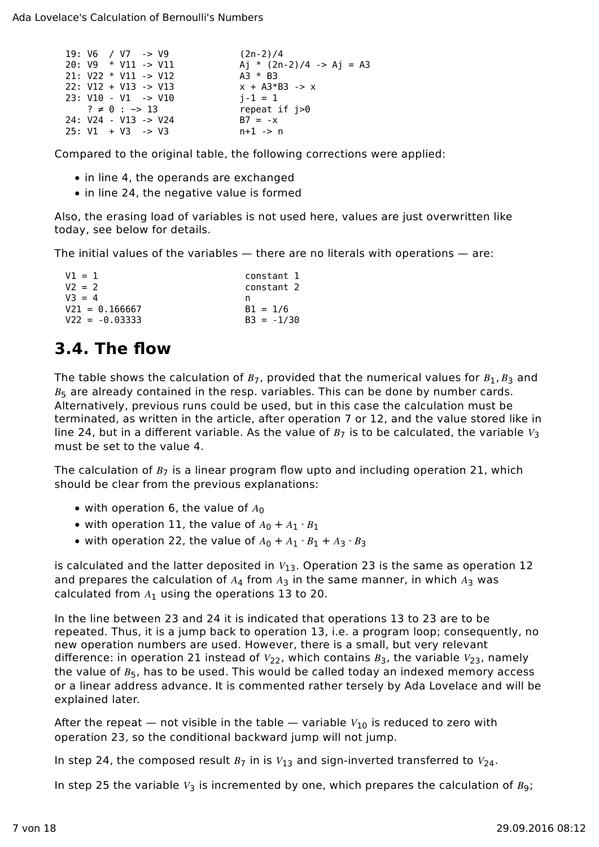```
19: V6 / V7 -> V9 (2n-2)/4<br>20: V9 * V11 -> V11 (2n) Aj * (2n)
                             Aj * (2n-2)/4 -> Aj = A3<br>A3 * B3
21: V22 * V11 -> V12 22: V12 + V13 -> V13 x + A3*B3 -> x
23: V10 - V1 \rightarrow V10 i-1 = 1? \neq 0 : \sim 13 repeat if i > 0 24: V24 - V13 -> V24 B7 = -x
 25: V1 + V3 -> V3 n+1 -> n
```
Compared to the original table, the following corrections were applied:

- in line 4, the operands are exchanged
- in line 24, the negative value is formed

Also, the erasing load of variables is not used here, values are just overwritten like today, see below for details.

The initial values of the variables — there are no literals with operations — are:

| $V1 = 1$         | constant 1   |
|------------------|--------------|
| $V2 = 2$         | constant 2   |
| $V3 = 4$         | n            |
| $V21 = 0.166667$ | $B1 = 1/6$   |
| $V22 = -0.03333$ | $B3 = -1/30$ |

### **3.4. The flow**

The table shows the calculation of  $B_7$ , provided that the numerical values for  $B_1, B_3$  and  $B<sub>5</sub>$  are already contained in the resp. variables. This can be done by number cards. Alternatively, previous runs could be used, but in this case the calculation must be terminated, as written in the article, after operation 7 or 12, and the value stored like in line 24, but in a different variable. As the value of  $B<sub>7</sub>$  is to be calculated, the variable  $V<sub>3</sub>$ must be set to the value 4.

The calculation of  $B_7$  is a linear program flow upto and including operation 21, which should be clear from the previous explanations:

- with operation 6, the value of  $A_0$
- with operation 11, the value of  $A_0 + A_1 \cdot B_1$
- with operation 22, the value of  $A_0 + A_1 \cdot B_1 + A_3 \cdot B_3$

is calculated and the latter deposited in  $V_{13}$ . Operation 23 is the same as operation 12 and prepares the calculation of  $A_4$  from  $A_3$  in the same manner, in which  $A_3$  was calculated from  $A_1$  using the operations 13 to 20.

In the line between 23 and 24 it is indicated that operations 13 to 23 are to be repeated. Thus, it is a jump back to operation 13, i.e. a program loop; consequently, no new operation numbers are used. However, there is a small, but very relevant difference: in operation 21 instead of  $V_{22}$ , which contains  $B_3$ , the variable  $V_{23}$ , namely the value of  $B_5$ , has to be used. This would be called today an indexed memory access or a linear address advance. It is commented rather tersely by Ada Lovelace and will be explained later.

After the repeat — not visible in the table — variable  $V_{10}$  is reduced to zero with operation 23, so the conditional backward jump will not jump.

In step 24, the composed result  $B_7$  in is  $V_{13}$  and sign-inverted transferred to  $V_{24}$ .

In step 25 the variable  $V_3$  is incremented by one, which prepares the calculation of  $B_9$ ;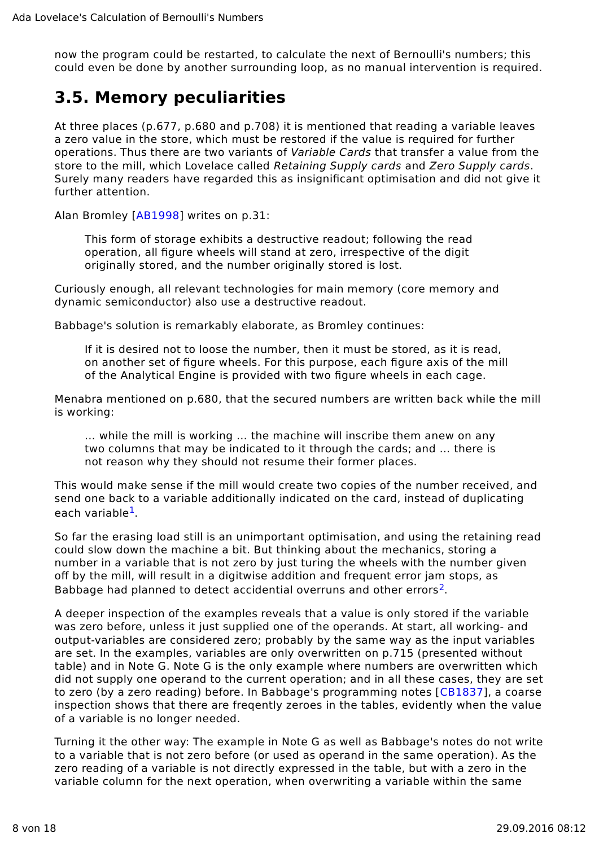now the program could be restarted, to calculate the next of Bernoulli's numbers; this could even be done by another surrounding loop, as no manual intervention is required.

#### **3.5. Memory peculiarities**

At three places (p.677, p.680 and p.708) it is mentioned that reading a variable leaves a zero value in the store, which must be restored if the value is required for further operations. Thus there are two variants of Variable Cards that transfer a value from the store to the mill, which Lovelace called Retaining Supply cards and Zero Supply cards. Surely many readers have regarded this as insignificant optimisation and did not give it further attention.

Alan Bromley [AB1998] writes on p.31:

This form of storage exhibits a destructive readout; following the read operation, all figure wheels will stand at zero, irrespective of the digit originally stored, and the number originally stored is lost.

Curiously enough, all relevant technologies for main memory (core memory and dynamic semiconductor) also use a destructive readout.

Babbage's solution is remarkably elaborate, as Bromley continues:

If it is desired not to loose the number, then it must be stored, as it is read, on another set of figure wheels. For this purpose, each figure axis of the mill of the Analytical Engine is provided with two figure wheels in each cage.

Menabra mentioned on p.680, that the secured numbers are written back while the mill is working:

… while the mill is working … the machine will inscribe them anew on any two columns that may be indicated to it through the cards; and … there is not reason why they should not resume their former places.

This would make sense if the mill would create two copies of the number received, and send one back to a variable additionally indicated on the card, instead of duplicating each variable<sup>1</sup>.

So far the erasing load still is an unimportant optimisation, and using the retaining read could slow down the machine a bit. But thinking about the mechanics, storing a number in a variable that is not zero by just turing the wheels with the number given off by the mill, will result in a digitwise addition and frequent error jam stops, as Babbage had planned to detect accidential overruns and other errors<sup>2</sup>.

A deeper inspection of the examples reveals that a value is only stored if the variable was zero before, unless it just supplied one of the operands. At start, all working- and output-variables are considered zero; probably by the same way as the input variables are set. In the examples, variables are only overwritten on p.715 (presented without table) and in Note G. Note G is the only example where numbers are overwritten which did not supply one operand to the current operation; and in all these cases, they are set to zero (by a zero reading) before. In Babbage's programming notes [CB1837], a coarse inspection shows that there are freqently zeroes in the tables, evidently when the value of a variable is no longer needed.

Turning it the other way: The example in Note G as well as Babbage's notes do not write to a variable that is not zero before (or used as operand in the same operation). As the zero reading of a variable is not directly expressed in the table, but with a zero in the variable column for the next operation, when overwriting a variable within the same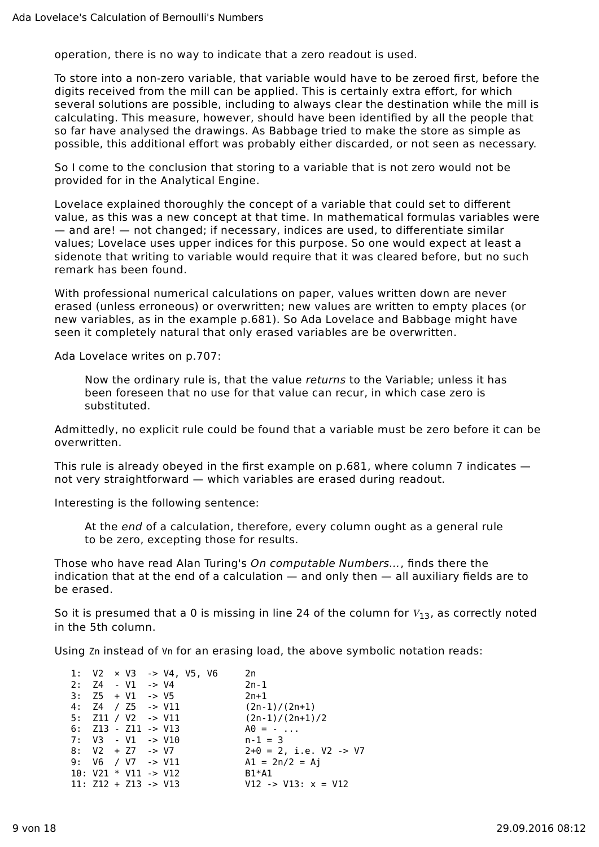operation, there is no way to indicate that a zero readout is used.

To store into a non-zero variable, that variable would have to be zeroed first, before the digits received from the mill can be applied. This is certainly extra effort, for which several solutions are possible, including to always clear the destination while the mill is calculating. This measure, however, should have been identified by all the people that so far have analysed the drawings. As Babbage tried to make the store as simple as possible, this additional effort was probably either discarded, or not seen as necessary.

So I come to the conclusion that storing to a variable that is not zero would not be provided for in the Analytical Engine.

Lovelace explained thoroughly the concept of a variable that could set to different value, as this was a new concept at that time. In mathematical formulas variables were — and are! — not changed; if necessary, indices are used, to differentiate similar values; Lovelace uses upper indices for this purpose. So one would expect at least a sidenote that writing to variable would require that it was cleared before, but no such remark has been found.

With professional numerical calculations on paper, values written down are never erased (unless erroneous) or overwritten; new values are written to empty places (or new variables, as in the example p.681). So Ada Lovelace and Babbage might have seen it completely natural that only erased variables are be overwritten.

Ada Lovelace writes on p.707:

Now the ordinary rule is, that the value returns to the Variable; unless it has been foreseen that no use for that value can recur, in which case zero is substituted.

Admittedly, no explicit rule could be found that a variable must be zero before it can be overwritten.

This rule is already obeyed in the first example on  $p.681$ , where column 7 indicates  $$ not very straightforward — which variables are erased during readout.

Interesting is the following sentence:

At the end of a calculation, therefore, every column ought as a general rule to be zero, excepting those for results.

Those who have read Alan Turing's On computable Numbers…, finds there the indication that at the end of a calculation — and only then — all auxiliary fields are to be erased.

So it is presumed that a 0 is missing in line 24 of the column for  $V_{13}$ , as correctly noted in the 5th column.

Using Zn instead of Vn for an erasing load, the above symbolic notation reads:

|  |  |                                  | 1: $V2 \times V3 \rightarrow V4$ , $V5$ , $V6$ |  | 2n                             |
|--|--|----------------------------------|------------------------------------------------|--|--------------------------------|
|  |  | $2: Z4 - V1 \rightarrow V4$      |                                                |  | 2n-1                           |
|  |  | $3: Z5 + V1 \rightarrow V5$      |                                                |  | $2n+1$                         |
|  |  | 4: $Z4 / Z5$ -> $V11$            |                                                |  | $(2n-1)/(2n+1)$                |
|  |  | 5: $Z11 / V2 \rightarrow V11$    |                                                |  | $(2n-1)/(2n+1)/2$              |
|  |  | $6:$ $Z13 - Z11 \rightarrow V13$ |                                                |  | $A0 = -$                       |
|  |  | $7: V3 - V1 \rightarrow V10$     |                                                |  | $n-1 = 3$                      |
|  |  | $8: V2 + Z7 \rightarrow V7$      |                                                |  | $2+0 = 2$ , i.e. V2 -> V7      |
|  |  | 9: $V6$ / $V7$ -> $V11$          |                                                |  | $Al = 2n/2 = Aj$               |
|  |  | $10: V21 * V11 -> V12$           |                                                |  | B1*A1                          |
|  |  | $11: Z12 + Z13 -> V13$           |                                                |  | $V12 \rightarrow V13: x = V12$ |
|  |  |                                  |                                                |  |                                |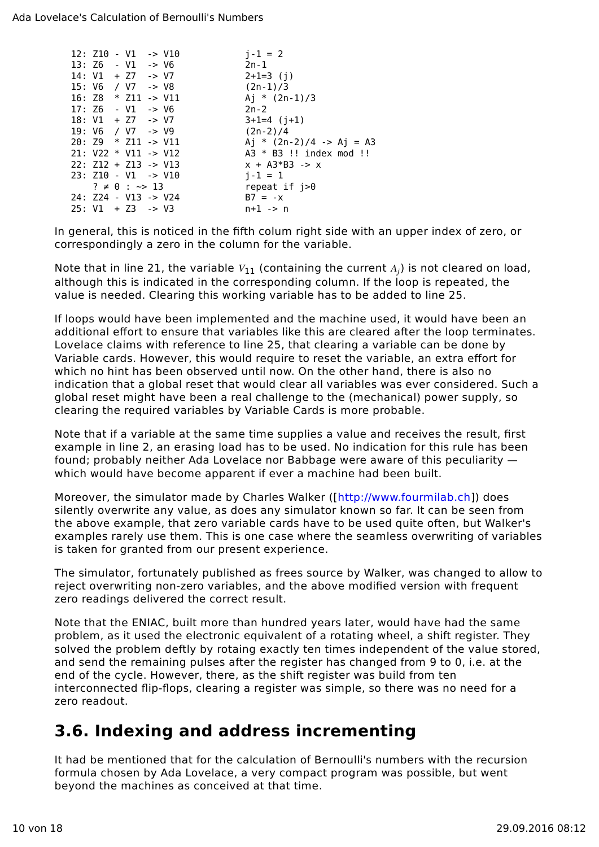|  |  | 12: Z10 - V1 -> V10             |  | $i - 1 = 2$                |
|--|--|---------------------------------|--|----------------------------|
|  |  | $13: Z6 - V1 \rightarrow V6$    |  | $2n-1$                     |
|  |  | $14: V1 + Z7 \rightarrow V7$    |  | $2+1=3$ (i)                |
|  |  | 15: V6 / V7 -> V8               |  | $(2n-1)/3$                 |
|  |  | 16: Z8 $*$ Z11 -> V11           |  | Ai * $(2n-1)/3$            |
|  |  | $17:Z6 - V1 -> V6$              |  | $2n-2$                     |
|  |  | $18: V1 + Z7$ -> V7             |  | $3+1=4$ (j+1)              |
|  |  | 19: V6 / V7 -> V9               |  | $(2n-2)/4$                 |
|  |  | $20: Z9 * Z11 -> V11$           |  | Aj * $(2n-2)/4$ -> Aj = A3 |
|  |  | $21: V22 * V11 -> V12$          |  | $A3 * B3$ !! index mod !!  |
|  |  | $22: Z12 + Z13 \rightarrow V13$ |  | $x + A3*B3 -> x$           |
|  |  | $23: Z10 - V1 \rightarrow V10$  |  | $i - 1 = 1$                |
|  |  | $? \neq 0 : \sim > 13$          |  | repeat if $j>0$            |
|  |  | 24: Z24 - V13 -> V24            |  | $B7 = -x$                  |
|  |  | $25: V1 + Z3 -> V3$             |  | $n+1$ -> n                 |
|  |  |                                 |  |                            |

In general, this is noticed in the fifth colum right side with an upper index of zero, or correspondingly a zero in the column for the variable.

Note that in line 21, the variable  $V_{11}$  (containing the current  $A_i$ ) is not cleared on load, although this is indicated in the corresponding column. If the loop is repeated, the value is needed. Clearing this working variable has to be added to line 25.

If loops would have been implemented and the machine used, it would have been an additional effort to ensure that variables like this are cleared after the loop terminates. Lovelace claims with reference to line 25, that clearing a variable can be done by Variable cards. However, this would require to reset the variable, an extra effort for which no hint has been observed until now. On the other hand, there is also no indication that a global reset that would clear all variables was ever considered. Such a global reset might have been a real challenge to the (mechanical) power supply, so clearing the required variables by Variable Cards is more probable.

Note that if a variable at the same time supplies a value and receives the result, first example in line 2, an erasing load has to be used. No indication for this rule has been found; probably neither Ada Lovelace nor Babbage were aware of this peculiarity which would have become apparent if ever a machine had been built.

Moreover, the simulator made by Charles Walker ([http://www.fourmilab.ch]) does silently overwrite any value, as does any simulator known so far. It can be seen from the above example, that zero variable cards have to be used quite often, but Walker's examples rarely use them. This is one case where the seamless overwriting of variables is taken for granted from our present experience.

The simulator, fortunately published as frees source by Walker, was changed to allow to reject overwriting non-zero variables, and the above modified version with frequent zero readings delivered the correct result.

Note that the ENIAC, built more than hundred years later, would have had the same problem, as it used the electronic equivalent of a rotating wheel, a shift register. They solved the problem deftly by rotaing exactly ten times independent of the value stored, and send the remaining pulses after the register has changed from 9 to 0, i.e. at the end of the cycle. However, there, as the shift register was build from ten interconnected flip-flops, clearing a register was simple, so there was no need for a zero readout.

### **3.6. Indexing and address incrementing**

It had be mentioned that for the calculation of Bernoulli's numbers with the recursion formula chosen by Ada Lovelace, a very compact program was possible, but went beyond the machines as conceived at that time.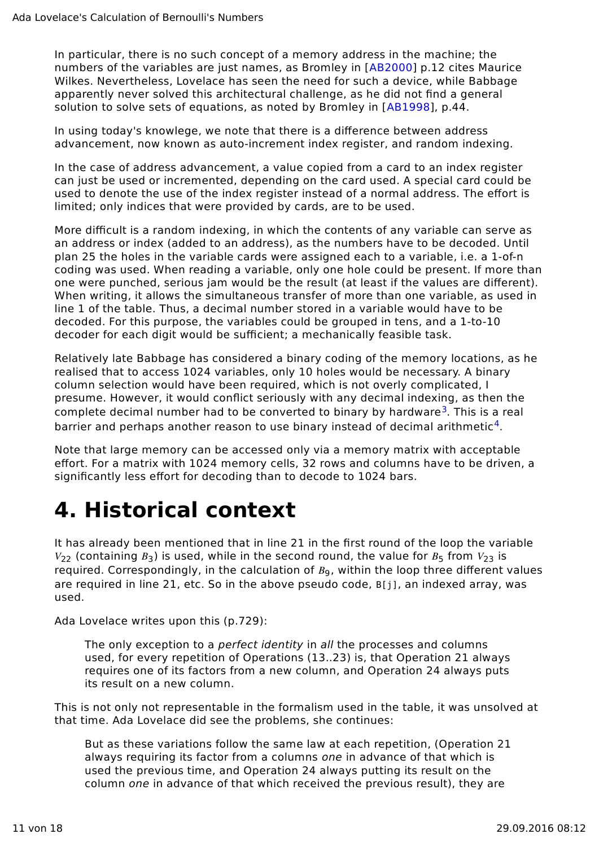In particular, there is no such concept of a memory address in the machine; the numbers of the variables are just names, as Bromley in [AB2000] p.12 cites Maurice Wilkes. Nevertheless, Lovelace has seen the need for such a device, while Babbage apparently never solved this architectural challenge, as he did not find a general solution to solve sets of equations, as noted by Bromley in [AB1998], p.44.

In using today's knowlege, we note that there is a difference between address advancement, now known as auto-increment index register, and random indexing.

In the case of address advancement, a value copied from a card to an index register can just be used or incremented, depending on the card used. A special card could be used to denote the use of the index register instead of a normal address. The effort is limited; only indices that were provided by cards, are to be used.

More difficult is a random indexing, in which the contents of any variable can serve as an address or index (added to an address), as the numbers have to be decoded. Until plan 25 the holes in the variable cards were assigned each to a variable, i.e. a 1-of-n coding was used. When reading a variable, only one hole could be present. If more than one were punched, serious jam would be the result (at least if the values are different). When writing, it allows the simultaneous transfer of more than one variable, as used in line 1 of the table. Thus, a decimal number stored in a variable would have to be decoded. For this purpose, the variables could be grouped in tens, and a 1-to-10 decoder for each digit would be sufficient; a mechanically feasible task.

Relatively late Babbage has considered a binary coding of the memory locations, as he realised that to access 1024 variables, only 10 holes would be necessary. A binary column selection would have been required, which is not overly complicated, I presume. However, it would conflict seriously with any decimal indexing, as then the complete decimal number had to be converted to binary by hardware<sup>3</sup>. This is a real barrier and perhaps another reason to use binary instead of decimal arithmetic<sup>4</sup>.

Note that large memory can be accessed only via a memory matrix with acceptable effort. For a matrix with 1024 memory cells, 32 rows and columns have to be driven, a significantly less effort for decoding than to decode to 1024 bars.

# **4. Historical context**

It has already been mentioned that in line 21 in the first round of the loop the variable  $V_{22}$  (containing  $B_3$ ) is used, while in the second round, the value for  $B_5$  from  $V_{23}$  is required. Correspondingly, in the calculation of  $B<sub>0</sub>$ , within the loop three different values are required in line 21, etc. So in the above pseudo code, B[j], an indexed array, was used.

Ada Lovelace writes upon this (p.729):

The only exception to a *perfect identity* in all the processes and columns used, for every repetition of Operations (13..23) is, that Operation 21 always requires one of its factors from a new column, and Operation 24 always puts its result on a new column.

This is not only not representable in the formalism used in the table, it was unsolved at that time. Ada Lovelace did see the problems, she continues:

But as these variations follow the same law at each repetition, (Operation 21 always requiring its factor from a columns one in advance of that which is used the previous time, and Operation 24 always putting its result on the column one in advance of that which received the previous result), they are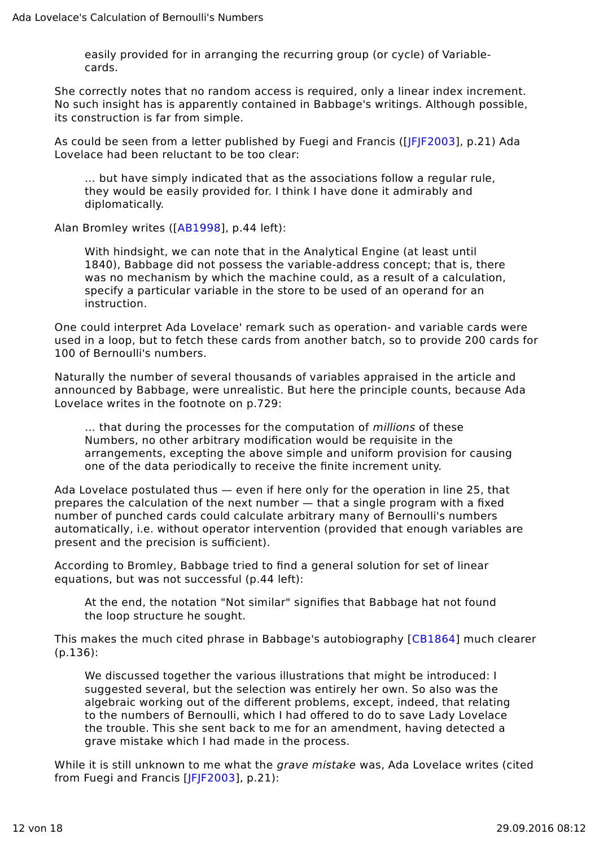easily provided for in arranging the recurring group (or cycle) of Variablecards.

She correctly notes that no random access is required, only a linear index increment. No such insight has is apparently contained in Babbage's writings. Although possible, its construction is far from simple.

As could be seen from a letter published by Fuegi and Francis ([JFJF2003], p.21) Ada Lovelace had been reluctant to be too clear:

… but have simply indicated that as the associations follow a regular rule, they would be easily provided for. I think I have done it admirably and diplomatically.

Alan Bromley writes ([AB1998], p.44 left):

With hindsight, we can note that in the Analytical Engine (at least until 1840), Babbage did not possess the variable-address concept; that is, there was no mechanism by which the machine could, as a result of a calculation, specify a particular variable in the store to be used of an operand for an instruction.

One could interpret Ada Lovelace' remark such as operation- and variable cards were used in a loop, but to fetch these cards from another batch, so to provide 200 cards for 100 of Bernoulli's numbers.

Naturally the number of several thousands of variables appraised in the article and announced by Babbage, were unrealistic. But here the principle counts, because Ada Lovelace writes in the footnote on p.729:

… that during the processes for the computation of millions of these Numbers, no other arbitrary modification would be requisite in the arrangements, excepting the above simple and uniform provision for causing one of the data periodically to receive the finite increment unity.

Ada Lovelace postulated thus — even if here only for the operation in line 25, that prepares the calculation of the next number — that a single program with a fixed number of punched cards could calculate arbitrary many of Bernoulli's numbers automatically, i.e. without operator intervention (provided that enough variables are present and the precision is sufficient).

According to Bromley, Babbage tried to find a general solution for set of linear equations, but was not successful (p.44 left):

At the end, the notation "Not similar" signifies that Babbage hat not found the loop structure he sought.

This makes the much cited phrase in Babbage's autobiography [CB1864] much clearer (p.136):

We discussed together the various illustrations that might be introduced: I suggested several, but the selection was entirely her own. So also was the algebraic working out of the different problems, except, indeed, that relating to the numbers of Bernoulli, which I had offered to do to save Lady Lovelace the trouble. This she sent back to me for an amendment, having detected a grave mistake which I had made in the process.

While it is still unknown to me what the *grave mistake* was. Ada Lovelace writes (cited from Fuegi and Francis [JFJF2003], p.21):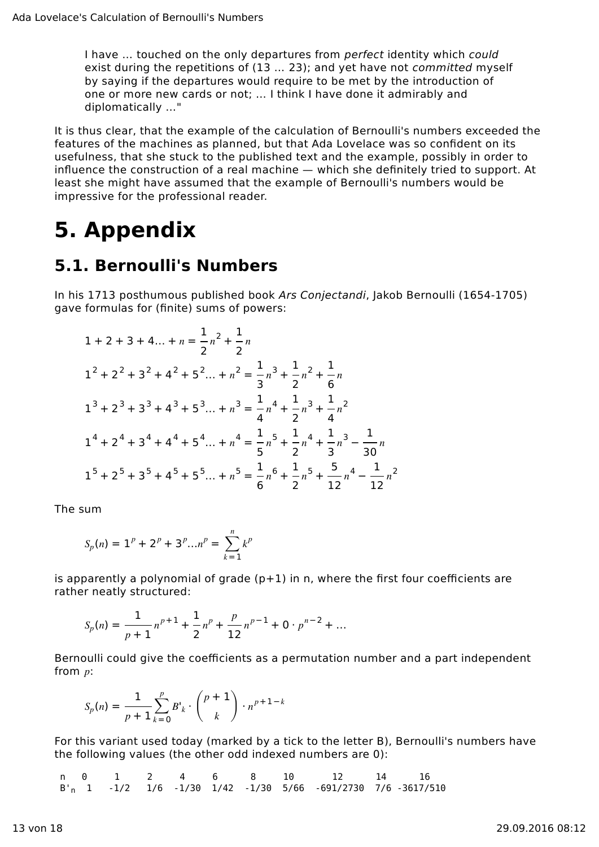I have ... touched on the only departures from perfect identity which could exist during the repetitions of (13 … 23); and yet have not committed myself by saying if the departures would require to be met by the introduction of one or more new cards or not; … I think I have done it admirably and diplomatically …"

It is thus clear, that the example of the calculation of Bernoulli's numbers exceeded the features of the machines as planned, but that Ada Lovelace was so confident on its usefulness, that she stuck to the published text and the example, possibly in order to influence the construction of a real machine — which she definitely tried to support. At least she might have assumed that the example of Bernoulli's numbers would be impressive for the professional reader.

# **5. Appendix**

### **5.1. Bernoulli's Numbers**

In his 1713 posthumous published book Ars Conjectandi, Jakob Bernoulli (1654-1705) gave formulas for (finite) sums of powers:

$$
1 + 2 + 3 + 4... + n = \frac{1}{2}n^2 + \frac{1}{2}n
$$
  
\n
$$
1^2 + 2^2 + 3^2 + 4^2 + 5^2... + n^2 = \frac{1}{3}n^3 + \frac{1}{2}n^2 + \frac{1}{6}n
$$
  
\n
$$
1^3 + 2^3 + 3^3 + 4^3 + 5^3... + n^3 = \frac{1}{4}n^4 + \frac{1}{2}n^3 + \frac{1}{4}n^2
$$
  
\n
$$
1^4 + 2^4 + 3^4 + 4^4 + 5^4... + n^4 = \frac{1}{5}n^5 + \frac{1}{2}n^4 + \frac{1}{9}n^3 - \frac{1}{30}n
$$
  
\n
$$
1^5 + 2^5 + 3^5 + 4^5 + 5^5... + n^5 = \frac{1}{6}n^6 + \frac{1}{2}n^5 + \frac{5}{12}n^4 - \frac{1}{12}n^2
$$

The sum

$$
S_p(n) = 1^p + 2^p + 3^p ... n^p = \sum_{k=1}^n k^p
$$

is apparently a polynomial of grade  $(p+1)$  in n, where the first four coefficients are rather neatly structured:

$$
S_p(n) = \frac{1}{p+1} n^{p+1} + \frac{1}{2} n^p + \frac{p}{12} n^{p-1} + 0 \cdot p^{n-2} + \dots
$$

Bernoulli could give the coefficients as a permutation number and a part independent from  $p$ :

$$
S_p(n) = \frac{1}{p+1}\sum_{k=0}^p B^{\prime}_k \cdot \binom{p+1}{k} \cdot n^{p+1-k}
$$

For this variant used today (marked by a tick to the letter B), Bernoulli's numbers have the following values (the other odd indexed numbers are 0):

 n 0 1 2 4 6 8 10 12 14 16 B'n 1 -1/2 1/6 -1/30 1/42 -1/30 5/66 -691/2730 7/6 -3617/510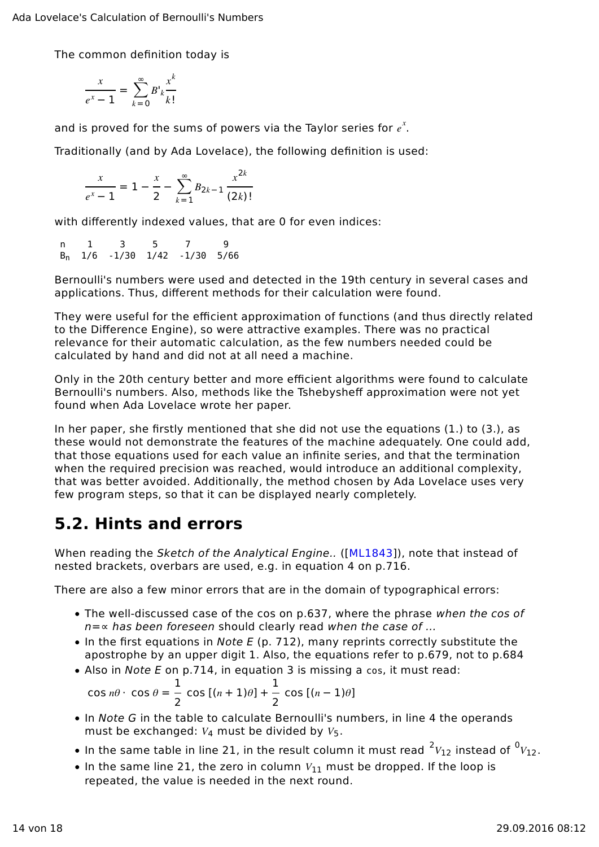The common definition today is

$$
\frac{x}{e^x - 1} = \sum_{k=0}^{\infty} B^{\prime} \frac{x^k}{k!}
$$

and is proved for the sums of powers via the Taylor series for  $e^x$ .

Traditionally (and by Ada Lovelace), the following definition is used:

$$
\frac{x}{e^x - 1} = 1 - \frac{x}{2} - \sum_{k=1}^{\infty} B_{2k-1} \frac{x^{2k}}{(2k)!}
$$

with differently indexed values, that are 0 for even indices:

$$
\begin{matrix} n & 1 & 3 & 5 & 7 & 9 \\ B_n & 1/6 & -1/30 & 1/42 & -1/30 & 5/66 \end{matrix}
$$

Bernoulli's numbers were used and detected in the 19th century in several cases and applications. Thus, different methods for their calculation were found.

They were useful for the efficient approximation of functions (and thus directly related to the Difference Engine), so were attractive examples. There was no practical relevance for their automatic calculation, as the few numbers needed could be calculated by hand and did not at all need a machine.

Only in the 20th century better and more efficient algorithms were found to calculate Bernoulli's numbers. Also, methods like the Tshebysheff approximation were not yet found when Ada Lovelace wrote her paper.

In her paper, she firstly mentioned that she did not use the equations (1.) to (3.), as these would not demonstrate the features of the machine adequately. One could add, that those equations used for each value an infinite series, and that the termination when the required precision was reached, would introduce an additional complexity, that was better avoided. Additionally, the method chosen by Ada Lovelace uses very few program steps, so that it can be displayed nearly completely.

### **5.2. Hints and errors**

When reading the Sketch of the Analytical Engine.. ([ML1843]), note that instead of nested brackets, overbars are used, e.g. in equation 4 on p.716.

There are also a few minor errors that are in the domain of typographical errors:

- The well-discussed case of the cos on p.637, where the phrase when the cos of  $n=\infty$  has been foreseen should clearly read when the case of ...
- $\bullet$  In the first equations in Note E (p. 712), many reprints correctly substitute the apostrophe by an upper digit 1. Also, the equations refer to p.679, not to p.684
- Also in Note E on p.714, in equation 3 is missing a cos, it must read:

$$
\cos n\theta \cdot \cos \theta = \frac{1}{2} \cos [(n+1)\theta] + \frac{1}{2} \cos [(n-1)\theta]
$$

- In Note G in the table to calculate Bernoulli's numbers, in line 4 the operands must be exchanged:  $V_4$  must be divided by  $V_5$ .
- In the same table in line 21, in the result column it must read  $^2V_{12}$  instead of  $^0V_{12}$ .
- In the same line 21, the zero in column  $V_{11}$  must be dropped. If the loop is repeated, the value is needed in the next round.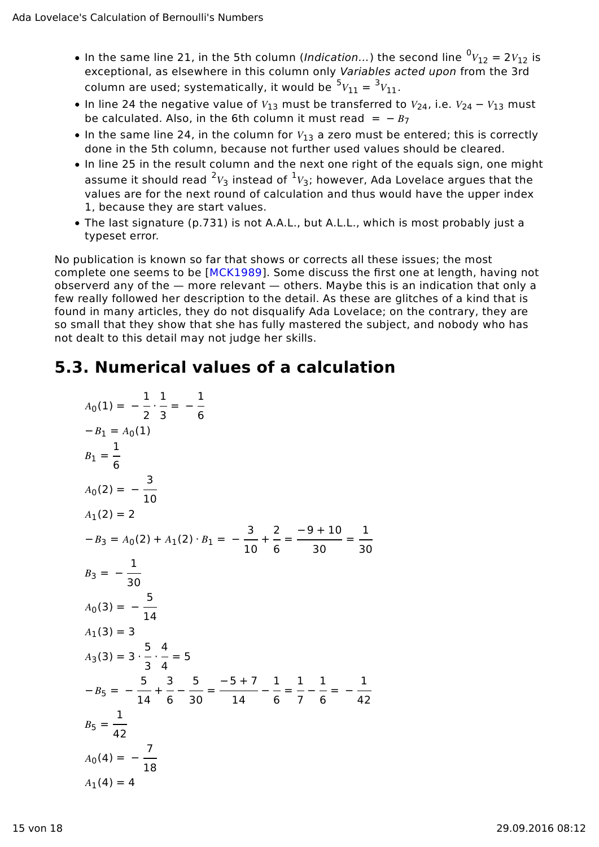- In the same line 21, in the 5th column (*Indication...*) the second line  ${}^0V_{12} = 2V_{12}$  is exceptional, as elsewhere in this column only Variables acted upon from the 3rd column are used; systematically, it would be  ${}^5V_{11} = {}^3V_{11}$ .
- In line 24 the negative value of  $V_{13}$  must be transferred to  $V_{24}$ , i.e.  $V_{24} V_{13}$  must be calculated. Also, in the 6th column it must read =  $-B_7$
- In the same line 24, in the column for  $V_{13}$  a zero must be entered; this is correctly done in the 5th column, because not further used values should be cleared.
- In line 25 in the result column and the next one right of the equals sign, one might assume it should read  $^2V_3$  instead of  $^1V_3$ ; however, Ada Lovelace argues that the values are for the next round of calculation and thus would have the upper index 1, because they are start values.
- The last signature (p.731) is not A.A.L., but A.L.L., which is most probably just a typeset error.

No publication is known so far that shows or corrects all these issues; the most complete one seems to be [MCK1989]. Some discuss the first one at length, having not observerd any of the — more relevant — others. Maybe this is an indication that only a few really followed her description to the detail. As these are glitches of a kind that is found in many articles, they do not disqualify Ada Lovelace; on the contrary, they are so small that they show that she has fully mastered the subject, and nobody who has not dealt to this detail may not judge her skills.

### **5.3. Numerical values of a calculation**

$$
A_0(1) = -\frac{1}{2} \cdot \frac{1}{3} = -\frac{1}{6}
$$
  
\n
$$
-B_1 = A_0(1)
$$
  
\n
$$
B_1 = \frac{1}{6}
$$
  
\n
$$
A_0(2) = -\frac{3}{10}
$$
  
\n
$$
A_1(2) = 2
$$
  
\n
$$
-B_3 = A_0(2) + A_1(2) \cdot B_1 = -\frac{3}{10} + \frac{2}{6} = \frac{-9 + 10}{30} = \frac{1}{30}
$$
  
\n
$$
B_3 = -\frac{1}{30}
$$
  
\n
$$
A_0(3) = -\frac{5}{14}
$$
  
\n
$$
A_1(3) = 3
$$
  
\n
$$
A_3(3) = 3 \cdot \frac{5}{3} \cdot \frac{4}{4} = 5
$$
  
\n
$$
-B_5 = -\frac{5}{14} + \frac{3}{6} - \frac{5}{30} = \frac{-5 + 7}{14} - \frac{1}{6} = \frac{1}{7} - \frac{1}{6} = -\frac{1}{42}
$$
  
\n
$$
B_5 = \frac{1}{42}
$$
  
\n
$$
A_0(4) = -\frac{7}{18}
$$
  
\n
$$
A_1(4) = 4
$$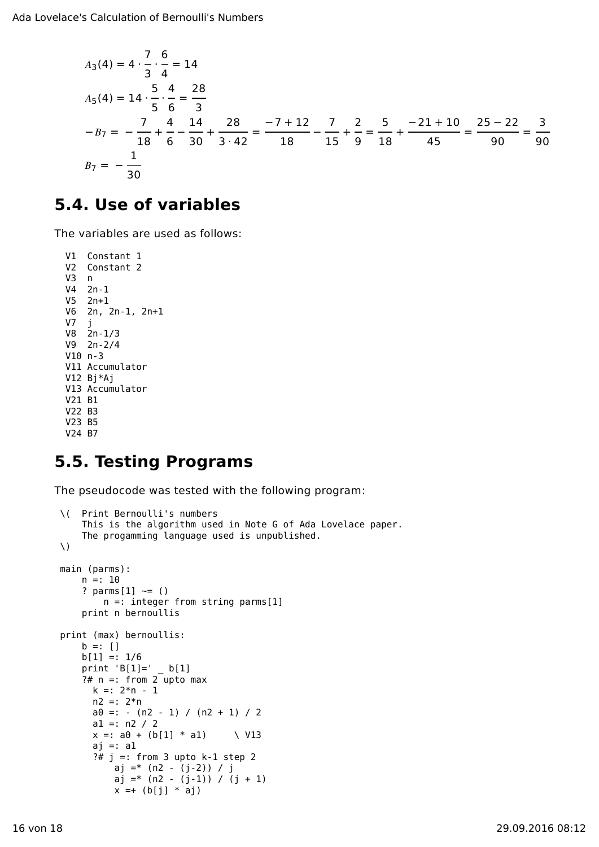$$
A_3(4) = 4 \cdot \frac{7}{3} \cdot \frac{6}{4} = 14
$$
  
\n
$$
A_5(4) = 14 \cdot \frac{5}{5} \cdot \frac{4}{6} = \frac{28}{3}
$$
  
\n
$$
-B_7 = -\frac{7}{18} + \frac{4}{6} - \frac{14}{30} + \frac{28}{3 \cdot 42} = \frac{-7 + 12}{18} - \frac{7}{15} + \frac{2}{9} = \frac{5}{18} + \frac{-21 + 10}{45} = \frac{25 - 22}{90} = \frac{3}{90}
$$
  
\n
$$
B_7 = -\frac{1}{30}
$$

#### **5.4. Use of variables**

The variables are used as follows:

```
 V1 Constant 1
  V2 Constant 2
  V3 n
  V4 2n-1
  V5 2n+1
  V6 2n, 2n-1, 2n+1
 V7 j
 V8 2n-1/3
  V9 2n-2/4
  V10 n-3
  V11 Accumulator
  V12 Bj*Aj
  V13 Accumulator
  V21 B1
  V22 B3
  V23 B5
  V24 B7
```
### **5.5. Testing Programs**

The pseudocode was tested with the following program:

```
 \( Print Bernoulli's numbers
     This is the algorithm used in Note G of Ada Lovelace paper.
     The progamming language used is unpublished.
\setminus main (parms):
    n =: 10? parms[1] \sim = () n =: integer from string parms[1]
     print n bernoullis
 print (max) bernoullis:
    b =: [1]b[1] =: 1/6print 'B[1]=' b[1]
    ?# n =: from 2 upto maxk =: 2*n - 1n2 =: 2*na0 =: -(n2 - 1) / (n2 + 1) / 2a1 =: n2 / 2x =: a0 + (b[1] * a1) \quad \sqrt{V13}ai =: a1?# j =: from 3 up to k-1 step 2 aj =* (n2 - (j-2)) / j
          aj =* (n2 - (j-1)) / (j + 1)
          x = + (b[i] * aj)
```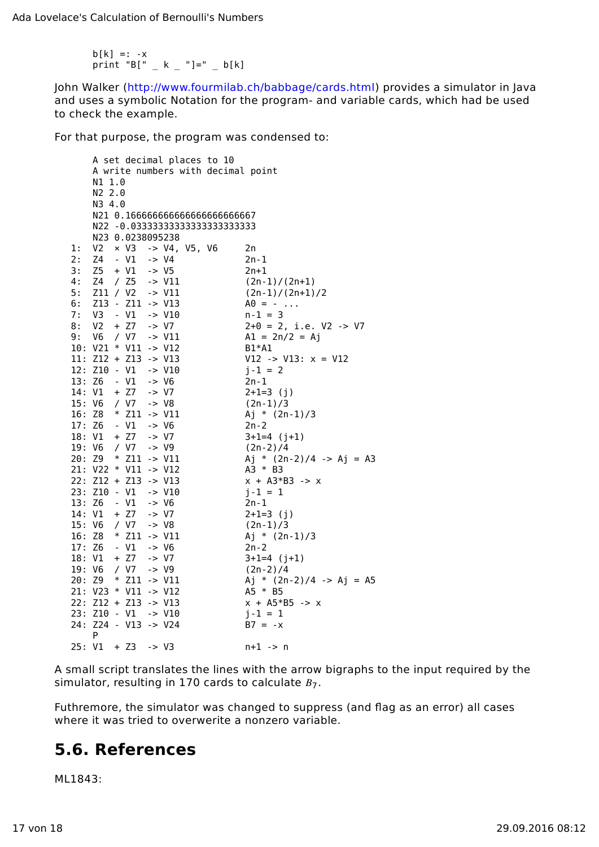$b[k] =: -x$ print "B[" \_ k \_ "]=" \_ b[k]

John Walker (http://www.fourmilab.ch/babbage/cards.html) provides a simulator in Java and uses a symbolic Notation for the program- and variable cards, which had be used to check the example.

For that purpose, the program was condensed to:

|        |                                 |        |                       |                  |                                                               |  | A set decimal places to 10     |  |                                    |  |
|--------|---------------------------------|--------|-----------------------|------------------|---------------------------------------------------------------|--|--------------------------------|--|------------------------------------|--|
|        |                                 |        |                       |                  |                                                               |  |                                |  | A write numbers with decimal point |  |
|        | N1 1.0                          |        |                       |                  |                                                               |  |                                |  |                                    |  |
|        | N2 2.0                          |        |                       |                  |                                                               |  |                                |  |                                    |  |
|        | N3 4.0                          |        |                       |                  |                                                               |  |                                |  |                                    |  |
|        |                                 |        |                       |                  |                                                               |  | N21 0.16666666666666666666667  |  |                                    |  |
|        |                                 |        |                       |                  |                                                               |  | N22 -0.03333333333333333333333 |  |                                    |  |
|        |                                 |        | N23 0.0238095238      |                  |                                                               |  |                                |  |                                    |  |
| 1:     | V2 -                            |        |                       |                  | $\times$ V3 $\rightarrow$ V4, V5, V6                          |  |                                |  | 2n                                 |  |
| 2:     | Z4 - V1                         |        |                       | $\sim$ V4        |                                                               |  |                                |  | $2n - 1$                           |  |
| 3:     | $Z5 + V1$                       |        |                       | $\rightarrow$ V5 |                                                               |  |                                |  | 2n+1                               |  |
| 4:     | Z4 / Z5                         |        |                       |                  | $\rightarrow$ V11                                             |  |                                |  | $(2n-1)/(2n+1)$                    |  |
| 5:     |                                 |        | Z11 / V2 -> V11       |                  |                                                               |  |                                |  | $(2n-1)/(2n+1)/2$                  |  |
| 6:     |                                 |        | Z13 - Z11 -> V13      |                  |                                                               |  |                                |  | $A0 = - \ldots$                    |  |
| 7:     | $V3 - V1 - V10$                 |        |                       |                  |                                                               |  |                                |  | $n-1 = 3$                          |  |
| 8 :    | V <sub>2</sub>                  |        | $+ 27 - > VI$         |                  |                                                               |  |                                |  | $2+0 = 2$ , i.e. V2 -> V7          |  |
| 9:     | V6                              |        | $/ V7$ -> $V11$       |                  |                                                               |  |                                |  | $Al = 2n/2 = Aj$                   |  |
|        | 10: $V21 * V11 - > V12$         |        |                       |                  |                                                               |  |                                |  | B1*A1                              |  |
|        | $11: Z12 + Z13 \rightarrow V13$ |        |                       |                  |                                                               |  |                                |  | $V12$ -> $V13: x = V12$            |  |
|        | 12: Z10 - V1                    |        |                       |                  | $\ensuremath{\mathsf{--}}\xspace > \ensuremath{\mathsf{V}}10$ |  |                                |  | $j - 1 = 2$                        |  |
|        | 13: Z6 - V1                     |        |                       | -> V6            |                                                               |  |                                |  | $2n - 1$                           |  |
| 14: V1 |                                 |        | $+ 77$                | $\rightarrow$ V7 |                                                               |  |                                |  | $2+1=3$ (j)                        |  |
| 15: V6 |                                 |        | / V7                  | $\rightarrow$ V8 |                                                               |  |                                |  | $(2n-1)/3$                         |  |
| 16: Z8 |                                 |        |                       |                  | $*$ Z11 -> V11                                                |  |                                |  | Aj * $(2n-1)/3$                    |  |
| 17: Z6 |                                 | - V1   |                       | $\rightarrow$ V6 |                                                               |  |                                |  | $2n - 2$                           |  |
| 18: V1 |                                 |        | $+ 27$                | $\rightarrow$ V7 |                                                               |  |                                |  | $3+1=4$ (j+1)                      |  |
| 19: V6 |                                 |        | / V7                  | -> V9            |                                                               |  |                                |  | $(2n-2)/4$                         |  |
|        | 20: Z9 * Z11 -> V11             |        |                       |                  |                                                               |  |                                |  | Aj * $(2n-2)/4$ -> Aj = A3         |  |
|        | 21: V22 * V11 -> V12            |        |                       |                  |                                                               |  |                                |  | $A3 * B3$                          |  |
|        | 22: Z12 + Z13 -> V13            |        |                       |                  |                                                               |  |                                |  | $x + A3*B3 -> x$                   |  |
|        | 23: Z10 - V1 -> V10             |        |                       |                  |                                                               |  |                                |  | $j - 1 = 1$                        |  |
| 13: Z6 |                                 | - V1   |                       | $\rightarrow$ V6 |                                                               |  |                                |  | 2n-1                               |  |
| 14: V1 |                                 |        | $+ Z7$                | $\rightarrow$ V7 |                                                               |  |                                |  | $2+1=3$ (j)                        |  |
| 15: V6 |                                 |        | / VI                  | $\rightarrow$ V8 |                                                               |  |                                |  | $(2n-1)/3$                         |  |
|        | 16: Z8 * Z11 -> V11             |        |                       |                  |                                                               |  |                                |  | Aj * $(2n-1)/3$                    |  |
| 17: Z6 |                                 | $- V1$ |                       | -> V6            |                                                               |  |                                |  | $2n - 2$                           |  |
| 18: V1 |                                 |        | $+ 77$                | $\rightarrow$ V7 |                                                               |  |                                |  | $3+1=4$ (j+1)                      |  |
| 19:    | V6                              |        | / $V7 \rightarrow V9$ |                  |                                                               |  |                                |  | $(2n-2)/4$                         |  |
|        | 20: Z9 * Z11 -> V11             |        |                       |                  |                                                               |  |                                |  | Aj * $(2n-2)/4$ -> Aj = A5         |  |
|        | 21: V23 * V11 -> V12            |        |                       |                  |                                                               |  |                                |  | A5 * B5                            |  |
|        | 22: Z12 + Z13 -> V13            |        |                       |                  |                                                               |  |                                |  | $x + A5*B5 -> x$                   |  |
|        | 23: Z10 - V1 -> V10             |        |                       |                  |                                                               |  |                                |  | $j - 1 = 1$                        |  |
|        | 24: Z24 - V13 -> V24            |        |                       |                  |                                                               |  |                                |  | $B7 = -x$                          |  |
|        | P                               |        |                       |                  |                                                               |  |                                |  |                                    |  |
|        | $25: V1 + Z3$                   |        |                       | -> V3            |                                                               |  |                                |  | $n+1$ -> n                         |  |

A small script translates the lines with the arrow bigraphs to the input required by the simulator, resulting in 170 cards to calculate  $B_7$ .

Futhremore, the simulator was changed to suppress (and flag as an error) all cases where it was tried to overwerite a nonzero variable.

#### **5.6. References**

ML1843: